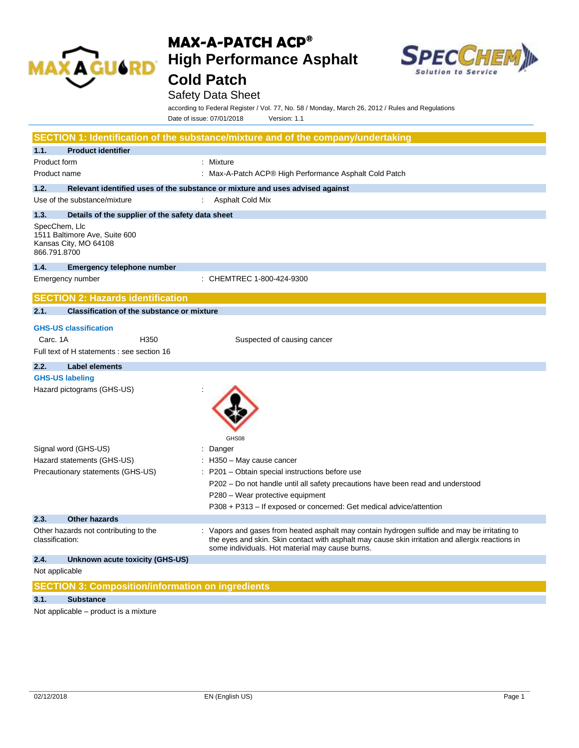

# **MAX-A-PATCH ACP® High Performance Asphalt**



## **Cold Patch**

### Safety Data Sheet

according to Federal Register / Vol. 77, No. 58 / Monday, March 26, 2012 / Rules and Regulations Date of issue: 07/01/2018 Version: 1.1

|                                                                                         | SECTION 1: Identification of the substance/mixture and of the company/undertaking                                                                                                                                                                   |
|-----------------------------------------------------------------------------------------|-----------------------------------------------------------------------------------------------------------------------------------------------------------------------------------------------------------------------------------------------------|
| 1.1.<br><b>Product identifier</b>                                                       |                                                                                                                                                                                                                                                     |
| Product form                                                                            | : Mixture                                                                                                                                                                                                                                           |
| Product name                                                                            | : Max-A-Patch ACP® High Performance Asphalt Cold Patch                                                                                                                                                                                              |
| 1.2.                                                                                    | Relevant identified uses of the substance or mixture and uses advised against                                                                                                                                                                       |
| Use of the substance/mixture                                                            | Asphalt Cold Mix                                                                                                                                                                                                                                    |
| 1.3.<br>Details of the supplier of the safety data sheet                                |                                                                                                                                                                                                                                                     |
| SpecChem, Llc<br>1511 Baltimore Ave, Suite 600<br>Kansas City, MO 64108<br>866.791.8700 |                                                                                                                                                                                                                                                     |
| 1.4.<br><b>Emergency telephone number</b>                                               |                                                                                                                                                                                                                                                     |
| Emergency number                                                                        | : CHEMTREC 1-800-424-9300                                                                                                                                                                                                                           |
| <b>SECTION 2: Hazards identification</b>                                                |                                                                                                                                                                                                                                                     |
| 2.1.<br><b>Classification of the substance or mixture</b>                               |                                                                                                                                                                                                                                                     |
| <b>GHS-US classification</b>                                                            |                                                                                                                                                                                                                                                     |
| Carc. 1A<br>H <sub>350</sub>                                                            | Suspected of causing cancer                                                                                                                                                                                                                         |
| Full text of H statements : see section 16                                              |                                                                                                                                                                                                                                                     |
| 2.2.<br><b>Label elements</b>                                                           |                                                                                                                                                                                                                                                     |
| <b>GHS-US labeling</b>                                                                  |                                                                                                                                                                                                                                                     |
| Hazard pictograms (GHS-US)                                                              | GHS08                                                                                                                                                                                                                                               |
| Signal word (GHS-US)                                                                    | : Danger                                                                                                                                                                                                                                            |
| Hazard statements (GHS-US)                                                              | : H350 - May cause cancer                                                                                                                                                                                                                           |
| Precautionary statements (GHS-US)                                                       | : P201 - Obtain special instructions before use                                                                                                                                                                                                     |
|                                                                                         | P202 – Do not handle until all safety precautions have been read and understood                                                                                                                                                                     |
|                                                                                         | P280 - Wear protective equipment                                                                                                                                                                                                                    |
|                                                                                         | P308 + P313 - If exposed or concerned: Get medical advice/attention                                                                                                                                                                                 |
| <b>Other hazards</b><br>2.3.                                                            |                                                                                                                                                                                                                                                     |
| Other hazards not contributing to the<br>classification:                                | : Vapors and gases from heated asphalt may contain hydrogen sulfide and may be irritating to<br>the eyes and skin. Skin contact with asphalt may cause skin irritation and allergix reactions in<br>some individuals. Hot material may cause burns. |
| 2.4.<br>Unknown acute toxicity (GHS-US)                                                 |                                                                                                                                                                                                                                                     |
| Not applicable                                                                          |                                                                                                                                                                                                                                                     |
| <b>SECTION 3: Composition/information on ingredients</b>                                |                                                                                                                                                                                                                                                     |
| 3.1.<br><b>Substance</b>                                                                |                                                                                                                                                                                                                                                     |

Not applicable – product is a mixture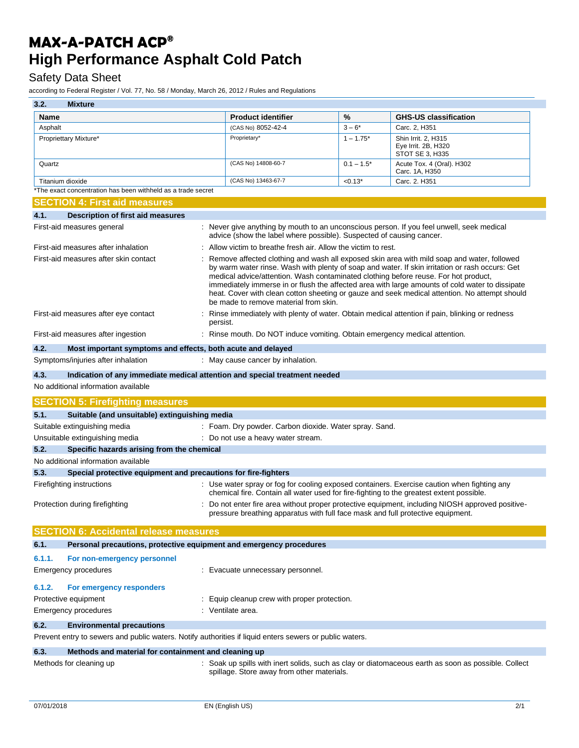### Safety Data Sheet

according to Federal Register / Vol. 77, No. 58 / Monday, March 26, 2012 / Rules and Regulations

| 3.2.             | <b>Mixture</b>                                                                                          |                                                                                                                                                                   |              |                                                                                                                                                                                                                                                                                                                                                                                                     |
|------------------|---------------------------------------------------------------------------------------------------------|-------------------------------------------------------------------------------------------------------------------------------------------------------------------|--------------|-----------------------------------------------------------------------------------------------------------------------------------------------------------------------------------------------------------------------------------------------------------------------------------------------------------------------------------------------------------------------------------------------------|
| <b>Name</b>      |                                                                                                         | <b>Product identifier</b>                                                                                                                                         | %            | <b>GHS-US classification</b>                                                                                                                                                                                                                                                                                                                                                                        |
| Asphalt          |                                                                                                         | (CAS No) 8052-42-4                                                                                                                                                | $3 - 6*$     | Carc. 2, H351                                                                                                                                                                                                                                                                                                                                                                                       |
|                  | Propriettary Mixture*                                                                                   | Proprietary*                                                                                                                                                      | $1 - 1.75^*$ | Shin Irrit. 2, H315<br>Eye Irrit. 2B, H320<br>STOT SE 3, H335                                                                                                                                                                                                                                                                                                                                       |
| Quartz           |                                                                                                         | (CAS No) 14808-60-7                                                                                                                                               | $0.1 - 1.5*$ | Acute Tox. 4 (Oral). H302<br>Carc. 1A, H350                                                                                                                                                                                                                                                                                                                                                         |
| Titanium dioxide |                                                                                                         | (CAS No) 13463-67-7                                                                                                                                               | $< 0.13*$    | Carc. 2. H351                                                                                                                                                                                                                                                                                                                                                                                       |
|                  | *The exact concentration has been withheld as a trade secret                                            |                                                                                                                                                                   |              |                                                                                                                                                                                                                                                                                                                                                                                                     |
|                  | <b>SECTION 4: First aid measures</b>                                                                    |                                                                                                                                                                   |              |                                                                                                                                                                                                                                                                                                                                                                                                     |
| 4.1.             | <b>Description of first aid measures</b>                                                                |                                                                                                                                                                   |              |                                                                                                                                                                                                                                                                                                                                                                                                     |
|                  | First-aid measures general                                                                              | : Never give anything by mouth to an unconscious person. If you feel unwell, seek medical<br>advice (show the label where possible). Suspected of causing cancer. |              |                                                                                                                                                                                                                                                                                                                                                                                                     |
|                  | First-aid measures after inhalation                                                                     | : Allow victim to breathe fresh air. Allow the victim to rest.                                                                                                    |              |                                                                                                                                                                                                                                                                                                                                                                                                     |
|                  | First-aid measures after skin contact                                                                   | medical advice/attention. Wash contaminated clothing before reuse. For hot product,<br>be made to remove material from skin.                                      |              | : Remove affected clothing and wash all exposed skin area with mild soap and water, followed<br>by warm water rinse. Wash with plenty of soap and water. If skin irritation or rash occurs: Get<br>immediately immerse in or flush the affected area with large amounts of cold water to dissipate<br>heat. Cover with clean cotton sheeting or gauze and seek medical attention. No attempt should |
|                  | First-aid measures after eye contact                                                                    | persist.                                                                                                                                                          |              | Rinse immediately with plenty of water. Obtain medical attention if pain, blinking or redness                                                                                                                                                                                                                                                                                                       |
|                  | First-aid measures after ingestion                                                                      | : Rinse mouth. Do NOT induce vomiting. Obtain emergency medical attention.                                                                                        |              |                                                                                                                                                                                                                                                                                                                                                                                                     |
| 4.2.             | Most important symptoms and effects, both acute and delayed                                             |                                                                                                                                                                   |              |                                                                                                                                                                                                                                                                                                                                                                                                     |
|                  | Symptoms/injuries after inhalation                                                                      | : May cause cancer by inhalation.                                                                                                                                 |              |                                                                                                                                                                                                                                                                                                                                                                                                     |
| 4.3.             | Indication of any immediate medical attention and special treatment needed                              |                                                                                                                                                                   |              |                                                                                                                                                                                                                                                                                                                                                                                                     |
|                  | No additional information available                                                                     |                                                                                                                                                                   |              |                                                                                                                                                                                                                                                                                                                                                                                                     |
|                  | <b>SECTION 5: Firefighting measures</b>                                                                 |                                                                                                                                                                   |              |                                                                                                                                                                                                                                                                                                                                                                                                     |
| 5.1.             | Suitable (and unsuitable) extinguishing media                                                           |                                                                                                                                                                   |              |                                                                                                                                                                                                                                                                                                                                                                                                     |
|                  | Suitable extinguishing media                                                                            | : Foam. Dry powder. Carbon dioxide. Water spray. Sand.                                                                                                            |              |                                                                                                                                                                                                                                                                                                                                                                                                     |
|                  | Unsuitable extinguishing media                                                                          | : Do not use a heavy water stream.                                                                                                                                |              |                                                                                                                                                                                                                                                                                                                                                                                                     |
| 5.2.             | Specific hazards arising from the chemical                                                              |                                                                                                                                                                   |              |                                                                                                                                                                                                                                                                                                                                                                                                     |
|                  | No additional information available                                                                     |                                                                                                                                                                   |              |                                                                                                                                                                                                                                                                                                                                                                                                     |
| 5.3.             | Special protective equipment and precautions for fire-fighters                                          |                                                                                                                                                                   |              |                                                                                                                                                                                                                                                                                                                                                                                                     |
|                  | Firefighting instructions                                                                               | chemical fire. Contain all water used for fire-fighting to the greatest extent possible.                                                                          |              | : Use water spray or fog for cooling exposed containers. Exercise caution when fighting any                                                                                                                                                                                                                                                                                                         |
|                  | Protection during firefighting                                                                          | pressure breathing apparatus with full face mask and full protective equipment.                                                                                   |              | Do not enter fire area without proper protective equipment, including NIOSH approved positive-                                                                                                                                                                                                                                                                                                      |
|                  | <b>SECTION 6: Accidental release measures</b>                                                           |                                                                                                                                                                   |              |                                                                                                                                                                                                                                                                                                                                                                                                     |
| 6.1.             | Personal precautions, protective equipment and emergency procedures                                     |                                                                                                                                                                   |              |                                                                                                                                                                                                                                                                                                                                                                                                     |
| 6.1.1.           | For non-emergency personnel                                                                             |                                                                                                                                                                   |              |                                                                                                                                                                                                                                                                                                                                                                                                     |
|                  | <b>Emergency procedures</b>                                                                             | : Evacuate unnecessary personnel.                                                                                                                                 |              |                                                                                                                                                                                                                                                                                                                                                                                                     |
| 6.1.2.           | For emergency responders                                                                                |                                                                                                                                                                   |              |                                                                                                                                                                                                                                                                                                                                                                                                     |
|                  | Protective equipment                                                                                    | : Equip cleanup crew with proper protection.                                                                                                                      |              |                                                                                                                                                                                                                                                                                                                                                                                                     |
|                  | <b>Emergency procedures</b>                                                                             | : Ventilate area.                                                                                                                                                 |              |                                                                                                                                                                                                                                                                                                                                                                                                     |
| 6.2.             | <b>Environmental precautions</b>                                                                        |                                                                                                                                                                   |              |                                                                                                                                                                                                                                                                                                                                                                                                     |
|                  | Prevent entry to sewers and public waters. Notify authorities if liquid enters sewers or public waters. |                                                                                                                                                                   |              |                                                                                                                                                                                                                                                                                                                                                                                                     |
| 6.3.             | Methods and material for containment and cleaning up                                                    |                                                                                                                                                                   |              |                                                                                                                                                                                                                                                                                                                                                                                                     |
|                  | Methods for cleaning up                                                                                 | spillage. Store away from other materials.                                                                                                                        |              | : Soak up spills with inert solids, such as clay or diatomaceous earth as soon as possible. Collect                                                                                                                                                                                                                                                                                                 |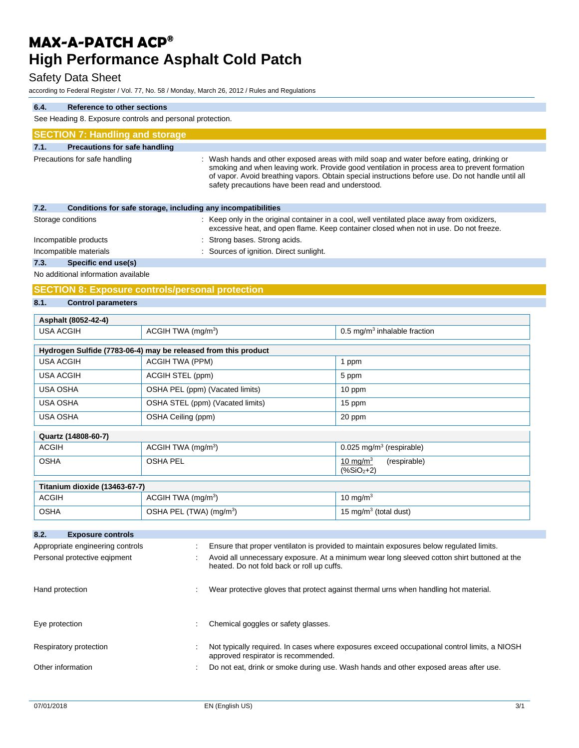### Safety Data Sheet

according to Federal Register / Vol. 77, No. 58 / Monday, March 26, 2012 / Rules and Regulations

| 6.4.                                                                                    | <b>Reference to other sections</b>                                                                                                                                                                                                                                                                                                                 |                                                              |                                                                                                                                                                                      |  |
|-----------------------------------------------------------------------------------------|----------------------------------------------------------------------------------------------------------------------------------------------------------------------------------------------------------------------------------------------------------------------------------------------------------------------------------------------------|--------------------------------------------------------------|--------------------------------------------------------------------------------------------------------------------------------------------------------------------------------------|--|
| See Heading 8. Exposure controls and personal protection.                               |                                                                                                                                                                                                                                                                                                                                                    |                                                              |                                                                                                                                                                                      |  |
| <b>SECTION 7: Handling and storage</b>                                                  |                                                                                                                                                                                                                                                                                                                                                    |                                                              |                                                                                                                                                                                      |  |
| <b>Precautions for safe handling</b><br>7.1.                                            |                                                                                                                                                                                                                                                                                                                                                    |                                                              |                                                                                                                                                                                      |  |
| Precautions for safe handling                                                           | : Wash hands and other exposed areas with mild soap and water before eating, drinking or<br>smoking and when leaving work. Provide good ventilation in process area to prevent formation<br>of vapor. Avoid breathing vapors. Obtain special instructions before use. Do not handle until all<br>safety precautions have been read and understood. |                                                              |                                                                                                                                                                                      |  |
| 7.2.                                                                                    |                                                                                                                                                                                                                                                                                                                                                    | Conditions for safe storage, including any incompatibilities |                                                                                                                                                                                      |  |
| Storage conditions                                                                      |                                                                                                                                                                                                                                                                                                                                                    |                                                              | : Keep only in the original container in a cool, well ventilated place away from oxidizers,<br>excessive heat, and open flame. Keep container closed when not in use. Do not freeze. |  |
| Incompatible products                                                                   |                                                                                                                                                                                                                                                                                                                                                    | : Strong bases. Strong acids.                                |                                                                                                                                                                                      |  |
| Incompatible materials                                                                  |                                                                                                                                                                                                                                                                                                                                                    | : Sources of ignition. Direct sunlight.                      |                                                                                                                                                                                      |  |
| 7.3.<br>Specific end use(s)                                                             |                                                                                                                                                                                                                                                                                                                                                    |                                                              |                                                                                                                                                                                      |  |
| No additional information available                                                     |                                                                                                                                                                                                                                                                                                                                                    |                                                              |                                                                                                                                                                                      |  |
| <b>SECTION 8: Exposure controls/personal protection</b>                                 |                                                                                                                                                                                                                                                                                                                                                    |                                                              |                                                                                                                                                                                      |  |
| 8.1.<br><b>Control parameters</b>                                                       |                                                                                                                                                                                                                                                                                                                                                    |                                                              |                                                                                                                                                                                      |  |
| Asphalt (8052-42-4)                                                                     |                                                                                                                                                                                                                                                                                                                                                    |                                                              |                                                                                                                                                                                      |  |
| <b>USA ACGIH</b><br>ACGIH TWA (mg/m <sup>3</sup> )<br>0.5 mg/ $m3$ inhalable fraction   |                                                                                                                                                                                                                                                                                                                                                    |                                                              |                                                                                                                                                                                      |  |
| Hydrogen Sulfide (7783-06-4) may be released from this product                          |                                                                                                                                                                                                                                                                                                                                                    |                                                              |                                                                                                                                                                                      |  |
| <b>USA ACGIH</b>                                                                        | <b>ACGIH TWA (PPM)</b>                                                                                                                                                                                                                                                                                                                             |                                                              | 1 ppm                                                                                                                                                                                |  |
| <b>USA ACGIH</b>                                                                        | ACGIH STEL (ppm)                                                                                                                                                                                                                                                                                                                                   |                                                              | 5 ppm                                                                                                                                                                                |  |
| USA OSHA                                                                                | OSHA PEL (ppm) (Vacated limits)                                                                                                                                                                                                                                                                                                                    |                                                              | 10 ppm                                                                                                                                                                               |  |
| <b>USA OSHA</b>                                                                         |                                                                                                                                                                                                                                                                                                                                                    | OSHA STEL (ppm) (Vacated limits)                             | 15 ppm                                                                                                                                                                               |  |
| OSHA Ceiling (ppm)<br>USA OSHA<br>20 ppm                                                |                                                                                                                                                                                                                                                                                                                                                    |                                                              |                                                                                                                                                                                      |  |
| Quartz (14808-60-7)                                                                     |                                                                                                                                                                                                                                                                                                                                                    |                                                              |                                                                                                                                                                                      |  |
| <b>ACGIH</b>                                                                            | ACGIH TWA (mg/m <sup>3</sup> )                                                                                                                                                                                                                                                                                                                     |                                                              | $0.025$ mg/m <sup>3</sup> (respirable)                                                                                                                                               |  |
| <b>OSHA</b><br><b>OSHA PEL</b>                                                          |                                                                                                                                                                                                                                                                                                                                                    |                                                              | 10 mg/m $3$<br>(respirable)<br>$(%SiO2+2)$                                                                                                                                           |  |
| Titanium dioxide (13463-67-7)                                                           |                                                                                                                                                                                                                                                                                                                                                    |                                                              |                                                                                                                                                                                      |  |
| <b>ACGIH</b>                                                                            | ACGIH TWA (mg/m <sup>3</sup> )                                                                                                                                                                                                                                                                                                                     |                                                              | 10 mg/m $3$                                                                                                                                                                          |  |
| <b>OSHA</b><br>OSHA PEL (TWA) (mg/m <sup>3</sup> )<br>15 mg/m <sup>3</sup> (total dust) |                                                                                                                                                                                                                                                                                                                                                    |                                                              |                                                                                                                                                                                      |  |
| 8.2.<br><b>Exposure controls</b>                                                        |                                                                                                                                                                                                                                                                                                                                                    |                                                              |                                                                                                                                                                                      |  |
| Appropriate engineering controls                                                        |                                                                                                                                                                                                                                                                                                                                                    |                                                              | Ensure that proper ventilaton is provided to maintain exposures below regulated limits.                                                                                              |  |
| Personal protective eqipment                                                            |                                                                                                                                                                                                                                                                                                                                                    | heated. Do not fold back or roll up cuffs.                   | Avoid all unnecessary exposure. At a minimum wear long sleeved cotton shirt buttoned at the                                                                                          |  |
| Hand protection                                                                         |                                                                                                                                                                                                                                                                                                                                                    |                                                              | Wear protective gloves that protect against thermal urns when handling hot material.                                                                                                 |  |
| Eye protection                                                                          |                                                                                                                                                                                                                                                                                                                                                    | Chemical goggles or safety glasses.                          |                                                                                                                                                                                      |  |
| Respiratory protection                                                                  |                                                                                                                                                                                                                                                                                                                                                    | approved respirator is recommended.                          | Not typically required. In cases where exposures exceed occupational control limits, a NIOSH                                                                                         |  |

Other information : Do not eat, drink or smoke during use. Wash hands and other exposed areas after use.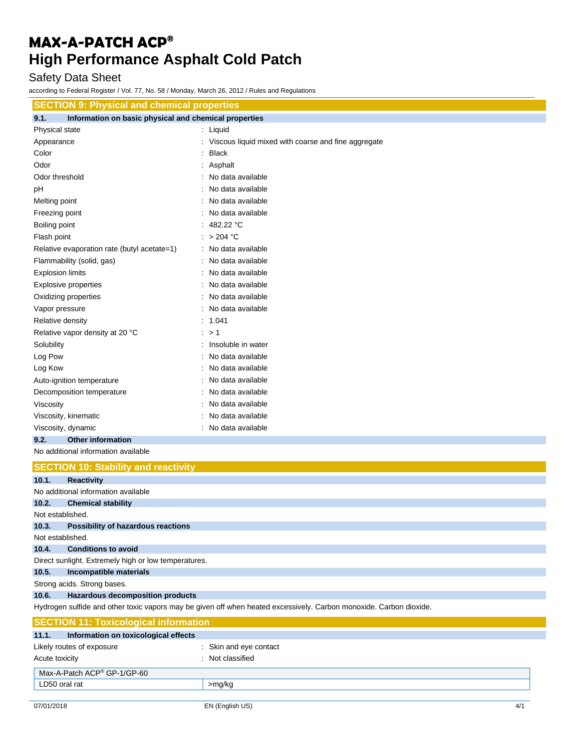### Safety Data Sheet

according to Federal Register / Vol. 77, No. 58 / Monday, March 26, 2012 / Rules and Regulations

| <b>SECTION 9: Physical and chemical properties</b>                      |                                                                                                                    |
|-------------------------------------------------------------------------|--------------------------------------------------------------------------------------------------------------------|
| Information on basic physical and chemical properties<br>9.1.           |                                                                                                                    |
| Physical state                                                          | : Liquid                                                                                                           |
| Appearance                                                              | : Viscous liquid mixed with coarse and fine aggregate                                                              |
| Color                                                                   | <b>Black</b>                                                                                                       |
| Odor                                                                    | Asphalt                                                                                                            |
| Odor threshold                                                          | No data available                                                                                                  |
| pH                                                                      | No data available                                                                                                  |
| Melting point                                                           | No data available                                                                                                  |
| Freezing point                                                          | No data available                                                                                                  |
| Boiling point                                                           | : 482.22 °C                                                                                                        |
| Flash point                                                             | : $>204$ °C                                                                                                        |
| Relative evaporation rate (butyl acetate=1)                             | : No data available                                                                                                |
| Flammability (solid, gas)                                               | : No data available                                                                                                |
| <b>Explosion limits</b>                                                 | No data available                                                                                                  |
| <b>Explosive properties</b>                                             | No data available                                                                                                  |
| Oxidizing properties                                                    | : No data available                                                                                                |
| Vapor pressure                                                          | No data available                                                                                                  |
| Relative density                                                        | : 1.041                                                                                                            |
| Relative vapor density at 20 °C                                         | : > 1                                                                                                              |
| Solubility                                                              | : Insoluble in water                                                                                               |
| Log Pow                                                                 | : No data available                                                                                                |
| Log Kow                                                                 | No data available                                                                                                  |
| Auto-ignition temperature                                               | No data available                                                                                                  |
| Decomposition temperature                                               | No data available                                                                                                  |
| Viscosity                                                               | No data available                                                                                                  |
|                                                                         | No data available                                                                                                  |
| Viscosity, kinematic                                                    |                                                                                                                    |
| Viscosity, dynamic                                                      | : No data available                                                                                                |
| 9.2.<br><b>Other information</b><br>No additional information available |                                                                                                                    |
|                                                                         |                                                                                                                    |
| <b>SECTION 10: Stability and reactivity</b>                             |                                                                                                                    |
| 10.1.<br><b>Reactivity</b>                                              |                                                                                                                    |
| No additional information available                                     |                                                                                                                    |
| 10.2.<br><b>Chemical stability</b>                                      |                                                                                                                    |
| Not established.                                                        |                                                                                                                    |
| 10.3.<br>Possibility of hazardous reactions                             |                                                                                                                    |
| Not established.                                                        |                                                                                                                    |
| 10.4.<br><b>Conditions to avoid</b>                                     |                                                                                                                    |
| Direct sunlight. Extremely high or low temperatures.                    |                                                                                                                    |
| 10.5.<br>Incompatible materials                                         |                                                                                                                    |
| Strong acids. Strong bases.                                             |                                                                                                                    |
| <b>Hazardous decomposition products</b><br>10.6.                        |                                                                                                                    |
|                                                                         | Hydrogen sulfide and other toxic vapors may be given off when heated excessively. Carbon monoxide. Carbon dioxide. |
| <b>SECTION 11: Toxicological information</b>                            |                                                                                                                    |
| 11.1.<br>Information on toxicological effects                           |                                                                                                                    |
| Likely routes of exposure                                               | : Skin and eye contact                                                                                             |
| Acute toxicity                                                          | : Not classified                                                                                                   |
| Max-A-Patch ACP® GP-1/GP-60                                             |                                                                                                                    |
| LD50 oral rat                                                           | >mg/kg                                                                                                             |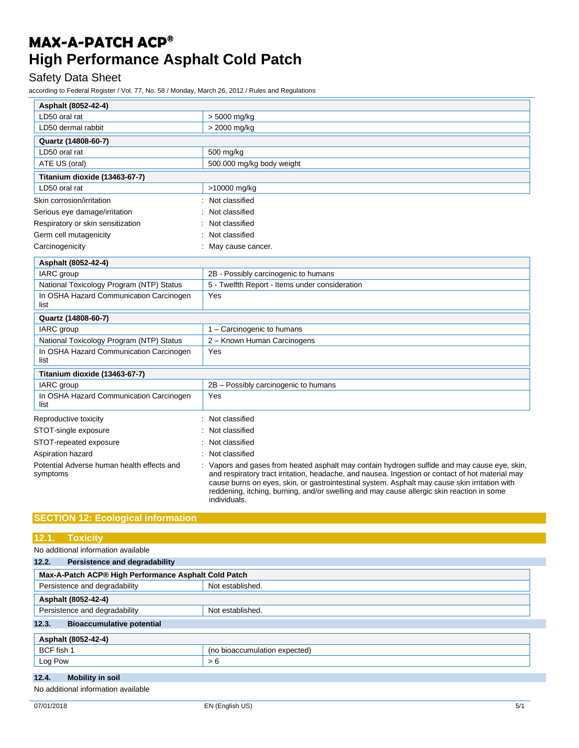### Safety Data Sheet

according to Federal Register / Vol. 77, No. 58 / Monday, March 26, 2012 / Rules and Regulations

| Asphalt (8052-42-4)                                    |                                                                                                                                                                                                                                                                                                                                                                                                              |
|--------------------------------------------------------|--------------------------------------------------------------------------------------------------------------------------------------------------------------------------------------------------------------------------------------------------------------------------------------------------------------------------------------------------------------------------------------------------------------|
| LD50 oral rat                                          | > 5000 mg/kg                                                                                                                                                                                                                                                                                                                                                                                                 |
| LD50 dermal rabbit                                     | > 2000 mg/kg                                                                                                                                                                                                                                                                                                                                                                                                 |
| Quartz (14808-60-7)                                    |                                                                                                                                                                                                                                                                                                                                                                                                              |
| LD50 oral rat                                          | 500 mg/kg                                                                                                                                                                                                                                                                                                                                                                                                    |
| ATE US (oral)                                          | 500.000 mg/kg body weight                                                                                                                                                                                                                                                                                                                                                                                    |
| Titanium dioxide (13463-67-7)                          |                                                                                                                                                                                                                                                                                                                                                                                                              |
| LD50 oral rat                                          | >10000 mg/kg                                                                                                                                                                                                                                                                                                                                                                                                 |
| Skin corrosion/irritation                              | Not classified                                                                                                                                                                                                                                                                                                                                                                                               |
| Serious eye damage/irritation                          | Not classified                                                                                                                                                                                                                                                                                                                                                                                               |
| Respiratory or skin sensitization                      | Not classified                                                                                                                                                                                                                                                                                                                                                                                               |
| Germ cell mutagenicity                                 | Not classified                                                                                                                                                                                                                                                                                                                                                                                               |
| Carcinogenicity                                        | May cause cancer.                                                                                                                                                                                                                                                                                                                                                                                            |
| Asphalt (8052-42-4)                                    |                                                                                                                                                                                                                                                                                                                                                                                                              |
| IARC group                                             | 2B - Possibly carcinogenic to humans                                                                                                                                                                                                                                                                                                                                                                         |
| National Toxicology Program (NTP) Status               | 5 - Twelfth Report - Items under consideration                                                                                                                                                                                                                                                                                                                                                               |
| In OSHA Hazard Communication Carcinogen<br>list        | Yes                                                                                                                                                                                                                                                                                                                                                                                                          |
| Quartz (14808-60-7)                                    |                                                                                                                                                                                                                                                                                                                                                                                                              |
| IARC group                                             | 1 - Carcinogenic to humans                                                                                                                                                                                                                                                                                                                                                                                   |
| National Toxicology Program (NTP) Status               | 2 - Known Human Carcinogens                                                                                                                                                                                                                                                                                                                                                                                  |
| In OSHA Hazard Communication Carcinogen<br>list        | Yes                                                                                                                                                                                                                                                                                                                                                                                                          |
| Titanium dioxide (13463-67-7)                          |                                                                                                                                                                                                                                                                                                                                                                                                              |
| IARC group                                             | 2B - Possibly carcinogenic to humans                                                                                                                                                                                                                                                                                                                                                                         |
| In OSHA Hazard Communication Carcinogen<br>list        | Yes                                                                                                                                                                                                                                                                                                                                                                                                          |
| Reproductive toxicity                                  | Not classified                                                                                                                                                                                                                                                                                                                                                                                               |
| STOT-single exposure                                   | Not classified                                                                                                                                                                                                                                                                                                                                                                                               |
| STOT-repeated exposure                                 | Not classified                                                                                                                                                                                                                                                                                                                                                                                               |
| Aspiration hazard                                      | Not classified                                                                                                                                                                                                                                                                                                                                                                                               |
| Potential Adverse human health effects and<br>symptoms | Vapors and gases from heated asphalt may contain hydrogen sulfide and may cause eye, skin,<br>and respiratory tract irritation, headache, and nausea. Ingestion or contact of hot material may<br>cause burns on eyes, skin, or gastrointestinal system. Asphalt may cause skin irritation with<br>reddening, itching, burning, and/or swelling and may cause allergic skin reaction in some<br>individuals. |

### **SECTION 12: Ecological information**

### **12.1. Toxicity**

No additional information available

| 12.2.<br>Persistence and degradability               |                               |
|------------------------------------------------------|-------------------------------|
| Max-A-Patch ACP® High Performance Asphalt Cold Patch |                               |
| Persistence and degradability<br>Not established.    |                               |
| Asphalt (8052-42-4)                                  |                               |
| Persistence and degradability<br>Not established.    |                               |
| 12.3.<br><b>Bioaccumulative potential</b>            |                               |
| Asphalt (8052-42-4)                                  |                               |
| BCF fish 1                                           | (no bioaccumulation expected) |
| Log Pow                                              | > 6                           |
| 12.4.<br><b>Mobility in soil</b>                     |                               |

No additional information available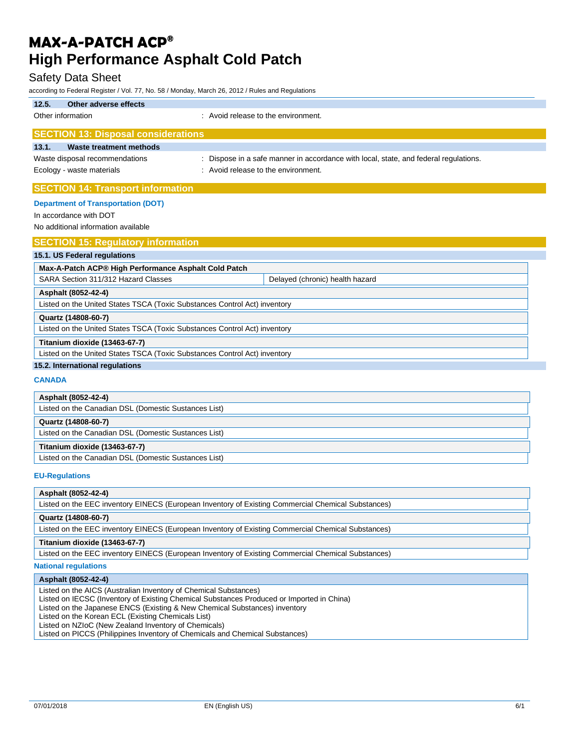### Safety Data Sheet

according to Federal Register / Vol. 77, No. 58 / Monday, March 26, 2012 / Rules and Regulations

| Other adverse effects<br>12.5.                                   |                                                                                      |
|------------------------------------------------------------------|--------------------------------------------------------------------------------------|
| Other information                                                | : Avoid release to the environment.                                                  |
| <b>SECTION 13: Disposal considerations</b>                       |                                                                                      |
| 13.1.<br>Waste treatment methods                                 |                                                                                      |
| Waste disposal recommendations                                   | : Dispose in a safe manner in accordance with local, state, and federal regulations. |
| Ecology - waste materials<br>: Avoid release to the environment. |                                                                                      |
| <b>SECTION 14: Transport information</b>                         |                                                                                      |
| <b>Department of Transportation (DOT)</b>                        |                                                                                      |
| In accordance with DOT                                           |                                                                                      |
| No additional information available                              |                                                                                      |
| <b>SECTION 15: Regulatory information</b>                        |                                                                                      |
| 15.1. US Federal regulations                                     |                                                                                      |
| Max-A-Patch ACP® High Performance Asphalt Cold Patch             |                                                                                      |
| SARA Section 311/312 Hazard Classes                              | Delayed (chronic) health hazard                                                      |
| Asphalt (8052-42-4)                                              |                                                                                      |

Listed on the United States TSCA (Toxic Substances Control Act) inventory

| LISICO ON THE ONICO ORIGIST FOOR TTOMC OUDSIGNCES OUTING ACC/ INVOLUSIV   |
|---------------------------------------------------------------------------|
| Quartz (14808-60-7)                                                       |
| Listed on the United States TSCA (Toxic Substances Control Act) inventory |
| Titanium dioxide (13463-67-7)                                             |
|                                                                           |

Listed on the United States TSCA (Toxic Substances Control Act) inventory

### **15.2. International regulations**

### **CANADA**

| Asphalt (8052-42-4)                                  |
|------------------------------------------------------|
| Listed on the Canadian DSL (Domestic Sustances List) |
| Quartz (14808-60-7)                                  |
| Listed on the Canadian DSL (Domestic Sustances List) |
| Titanium dioxide (13463-67-7)                        |
| Listed on the Canadian DSL (Domestic Sustances List) |

#### **EU-Regulations**

#### **Asphalt (8052-42-4)**

Listed on the EEC inventory EINECS (European Inventory of Existing Commercial Chemical Substances)

#### **Quartz (14808-60-7)**

Listed on the EEC inventory EINECS (European Inventory of Existing Commercial Chemical Substances)

#### **Titanium dioxide (13463-67-7)**

Listed on the EEC inventory EINECS (European Inventory of Existing Commercial Chemical Substances)

### **National regulations**

#### **Asphalt (8052-42-4)**

Listed on the AICS (Australian Inventory of Chemical Substances)

Listed on IECSC (Inventory of Existing Chemical Substances Produced or Imported in China)

Listed on the Japanese ENCS (Existing & New Chemical Substances) inventory

Listed on the Korean ECL (Existing Chemicals List)

Listed on NZIoC (New Zealand Inventory of Chemicals)

Listed on PICCS (Philippines Inventory of Chemicals and Chemical Substances)